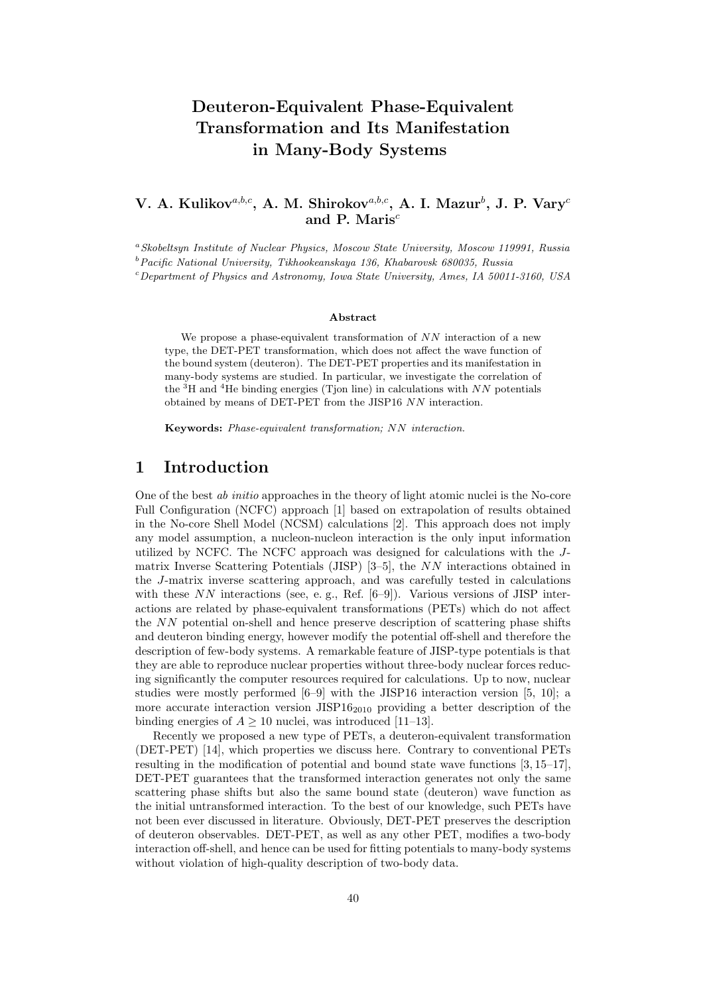# Deuteron-Equivalent Phase-Equivalent Transformation and Its Manifestation in Many-Body Systems

#### V. A. Kulikov $^{a,b,c},$  A. M. Shirokov $^{a,b,c},$  A. I. Mazur $^b$ , J. P. Vary $^c$ and P. Maris $<sup>c</sup>$ </sup>

<sup>a</sup> Skobeltsyn Institute of Nuclear Physics, Moscow State University, Moscow 119991, Russia

 $b$ Pacific National University, Tikhookeanskaya 136, Khabarovsk 680035, Russia

 $c$ Department of Physics and Astronomy, Iowa State University, Ames, IA 50011-3160, USA

#### Abstract

We propose a phase-equivalent transformation of  $NN$  interaction of a new type, the DET-PET transformation, which does not affect the wave function of the bound system (deuteron). The DET-PET properties and its manifestation in many-body systems are studied. In particular, we investigate the correlation of the  ${}^{3}$ H and  ${}^{4}$ He binding energies (Tjon line) in calculations with NN potentials obtained by means of DET-PET from the JISP16 NN interaction.

Keywords: Phase-equivalent transformation; NN interaction.

#### 1 Introduction

One of the best ab initio approaches in the theory of light atomic nuclei is the No-core Full Configuration (NCFC) approach [1] based on extrapolation of results obtained in the No-core Shell Model (NCSM) calculations [2]. This approach does not imply any model assumption, a nucleon-nucleon interaction is the only input information utilized by NCFC. The NCFC approach was designed for calculations with the Jmatrix Inverse Scattering Potentials (JISP) [3–5], the NN interactions obtained in the J-matrix inverse scattering approach, and was carefully tested in calculations with these  $NN$  interactions (see, e.g., Ref. [6–9]). Various versions of JISP interactions are related by phase-equivalent transformations (PETs) which do not affect the NN potential on-shell and hence preserve description of scattering phase shifts and deuteron binding energy, however modify the potential off-shell and therefore the description of few-body systems. A remarkable feature of JISP-type potentials is that they are able to reproduce nuclear properties without three-body nuclear forces reducing significantly the computer resources required for calculations. Up to now, nuclear studies were mostly performed [6–9] with the JISP16 interaction version [5, 10]; a more accurate interaction version  $JISP16_{2010}$  providing a better description of the binding energies of  $A > 10$  nuclei, was introduced [11–13].

Recently we proposed a new type of PETs, a deuteron-equivalent transformation (DET-PET) [14], which properties we discuss here. Contrary to conventional PETs resulting in the modification of potential and bound state wave functions [3, 15–17], DET-PET guarantees that the transformed interaction generates not only the same scattering phase shifts but also the same bound state (deuteron) wave function as the initial untransformed interaction. To the best of our knowledge, such PETs have not been ever discussed in literature. Obviously, DET-PET preserves the description of deuteron observables. DET-PET, as well as any other PET, modifies a two-body interaction off-shell, and hence can be used for fitting potentials to many-body systems without violation of high-quality description of two-body data.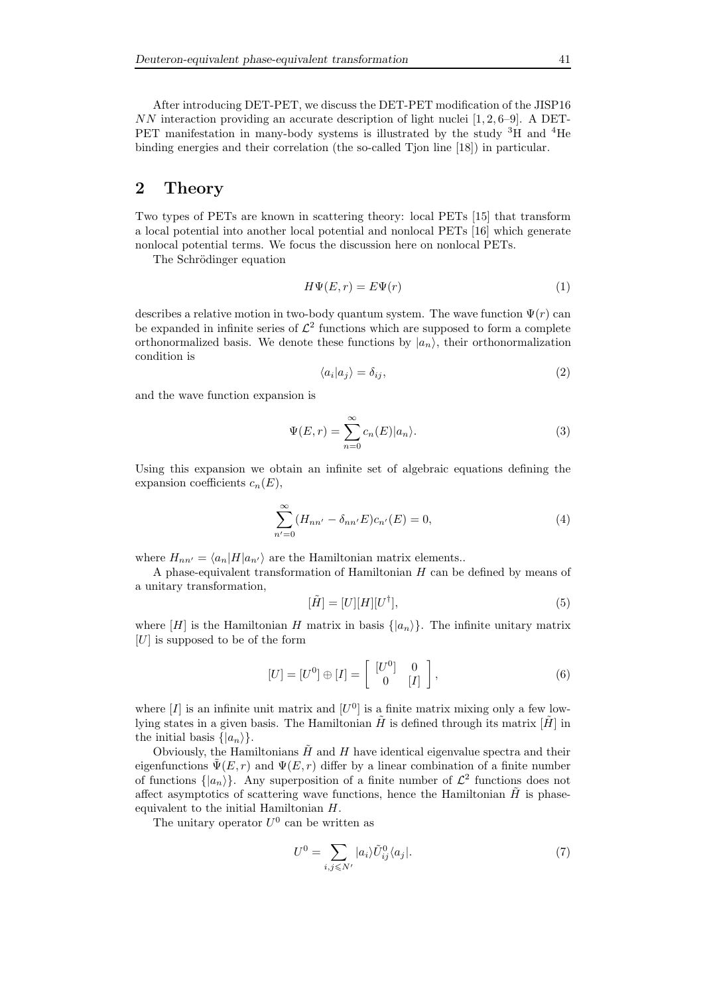After introducing DET-PET, we discuss the DET-PET modification of the JISP16  $NN$  interaction providing an accurate description of light nuclei [1, 2, 6–9]. A DET-PET manifestation in many-body systems is illustrated by the study <sup>3</sup>H and <sup>4</sup>He binding energies and their correlation (the so-called Tjon line [18]) in particular.

# 2 Theory

Two types of PETs are known in scattering theory: local PETs [15] that transform a local potential into another local potential and nonlocal PETs [16] which generate nonlocal potential terms. We focus the discussion here on nonlocal PETs.

The Schrödinger equation

$$
H\Psi(E,r) = E\Psi(r) \tag{1}
$$

describes a relative motion in two-body quantum system. The wave function  $\Psi(r)$  can be expanded in infinite series of  $\mathcal{L}^2$  functions which are supposed to form a complete orthonormalized basis. We denote these functions by  $|a_n\rangle$ , their orthonormalization condition is

$$
\langle a_i | a_j \rangle = \delta_{ij},\tag{2}
$$

and the wave function expansion is

$$
\Psi(E,r) = \sum_{n=0}^{\infty} c_n(E)|a_n\rangle.
$$
 (3)

Using this expansion we obtain an infinite set of algebraic equations defining the expansion coefficients  $c_n(E)$ ,

$$
\sum_{n'=0}^{\infty} (H_{nn'} - \delta_{nn'}E)c_{n'}(E) = 0,
$$
\n(4)

where  $H_{nn'} = \langle a_n|H|a_{n'}\rangle$  are the Hamiltonian matrix elements..

A phase-equivalent transformation of Hamiltonian H can be defined by means of a unitary transformation,

$$
[\tilde{H}] = [U][H][U^{\dagger}], \tag{5}
$$

where [H] is the Hamiltonian H matrix in basis  $\{|a_n\rangle\}$ . The infinite unitary matrix  $[U]$  is supposed to be of the form

$$
[U] = [U0] \oplus [I] = \left[ \begin{array}{cc} [U0] & 0 \\ 0 & [I] \end{array} \right],
$$
 (6)

where  $[I]$  is an infinite unit matrix and  $[U^0]$  is a finite matrix mixing only a few lowlying states in a given basis. The Hamiltonian  $\tilde{H}$  is defined through its matrix  $[\tilde{H}]$  in the initial basis  $\{|a_n\rangle\}.$ 

Obviously, the Hamiltonians  $\ddot{H}$  and H have identical eigenvalue spectra and their eigenfunctions  $\Psi(E, r)$  and  $\Psi(E, r)$  differ by a linear combination of a finite number of functions  $\{|a_n\rangle\}$ . Any superposition of a finite number of  $\mathcal{L}^2$  functions does not affect asymptotics of scattering wave functions, hence the Hamiltonian  $\hat{H}$  is phaseequivalent to the initial Hamiltonian H.

The unitary operator  $U^0$  can be written as

$$
U^{0} = \sum_{i,j \leqslant N'} |a_{i}\rangle \tilde{U}_{ij}^{0} \langle a_{j}|. \tag{7}
$$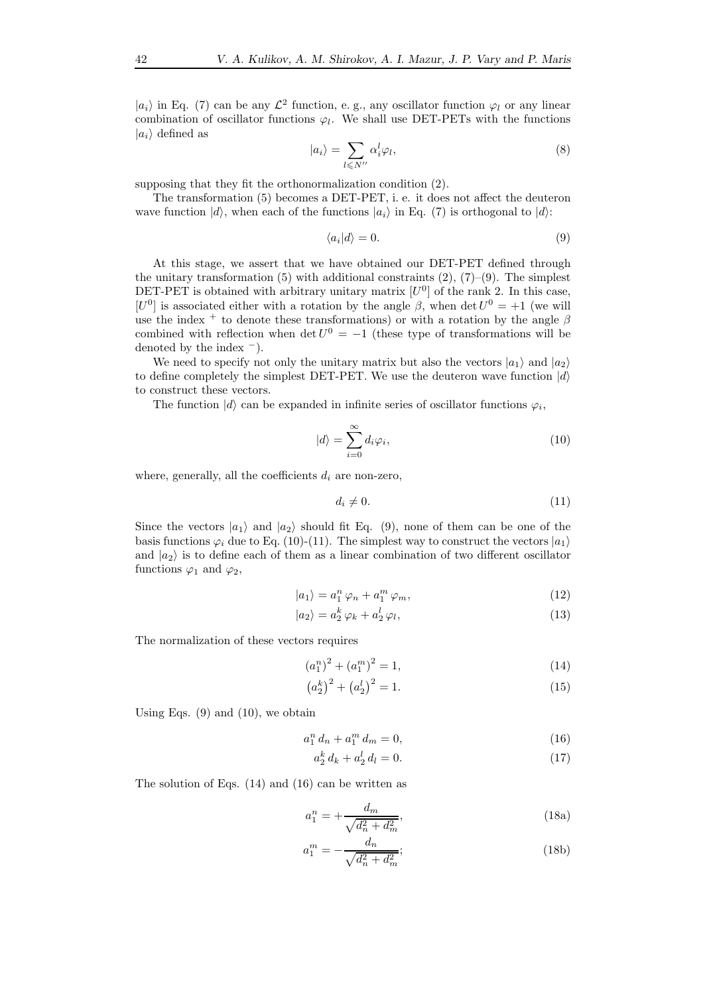$|a_i\rangle$  in Eq. (7) can be any  $\mathcal{L}^2$  function, e.g., any oscillator function  $\varphi_l$  or any linear combination of oscillator functions  $\varphi_l$ . We shall use DET-PETs with the functions  $|a_i\rangle$  defined as

$$
|a_i\rangle = \sum_{l \le N''} \alpha_i^l \varphi_l,\tag{8}
$$

supposing that they fit the orthonormalization condition (2).

The transformation (5) becomes a DET-PET, i. e. it does not affect the deuteron wave function  $|d\rangle$ , when each of the functions  $|a_i\rangle$  in Eq. (7) is orthogonal to  $|d\rangle$ :

$$
\langle a_i | d \rangle = 0. \tag{9}
$$

At this stage, we assert that we have obtained our DET-PET defined through the unitary transformation (5) with additional constraints  $(2)$ ,  $(7)-(9)$ . The simplest DET-PET is obtained with arbitrary unitary matrix  $[U^0]$  of the rank 2. In this case, [ $U^0$ ] is associated either with a rotation by the angle  $\beta$ , when det  $U^0 = +1$  (we will use the index <sup>+</sup> to denote these transformations) or with a rotation by the angle  $\beta$ combined with reflection when  $\det U^0 = -1$  (these type of transformations will be denoted by the index  $^{-}$ ).

We need to specify not only the unitary matrix but also the vectors  $|a_1\rangle$  and  $|a_2\rangle$ to define completely the simplest DET-PET. We use the deuteron wave function  $|d\rangle$ to construct these vectors.

The function  $|d\rangle$  can be expanded in infinite series of oscillator functions  $\varphi_i$ ,

$$
|d\rangle = \sum_{i=0}^{\infty} d_i \varphi_i, \qquad (10)
$$

where, generally, all the coefficients  $d_i$  are non-zero,

$$
d_i \neq 0. \tag{11}
$$

Since the vectors  $|a_1\rangle$  and  $|a_2\rangle$  should fit Eq. (9), none of them can be one of the basis functions  $\varphi_i$  due to Eq. (10)-(11). The simplest way to construct the vectors  $|a_1\rangle$ and  $|a_2\rangle$  is to define each of them as a linear combination of two different oscillator functions  $\varphi_1$  and  $\varphi_2$ ,

$$
|a_1\rangle = a_1^n \varphi_n + a_1^m \varphi_m,\tag{12}
$$

$$
|a_2\rangle = a_2^k \varphi_k + a_2^l \varphi_l,\tag{13}
$$

The normalization of these vectors requires

$$
(a_1^n)^2 + (a_1^m)^2 = 1,\t\t(14)
$$

$$
\left(a_2^k\right)^2 + \left(a_2^l\right)^2 = 1.
$$
 (15)

Using Eqs.  $(9)$  and  $(10)$ , we obtain

$$
a_1^n d_n + a_1^m d_m = 0,\t\t(16)
$$

$$
a_2^k d_k + a_2^l d_l = 0.
$$
 (17)

The solution of Eqs. (14) and (16) can be written as

$$
a_1^n = +\frac{d_m}{\sqrt{d_n^2 + d_m^2}},\tag{18a}
$$

$$
a_1^m = -\frac{d_n}{\sqrt{d_n^2 + d_m^2}};
$$
\n(18b)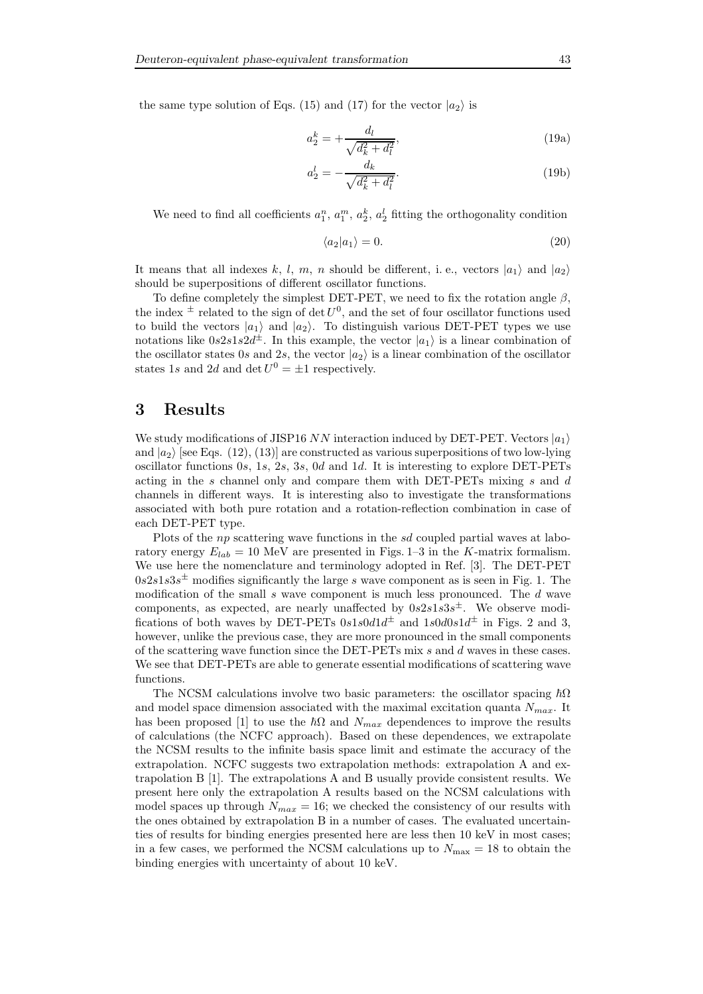the same type solution of Eqs. (15) and (17) for the vector  $|a_2\rangle$  is

$$
a_2^k = +\frac{d_l}{\sqrt{d_k^2 + d_l^2}},\tag{19a}
$$

$$
a_2^l = -\frac{d_k}{\sqrt{d_k^2 + d_l^2}}.\tag{19b}
$$

We need to find all coefficients  $a_1^n$ ,  $a_1^m$ ,  $a_2^k$ ,  $a_2^l$  fitting the orthogonality condition

$$
\langle a_2 | a_1 \rangle = 0. \tag{20}
$$

It means that all indexes k, l, m, n should be different, i.e., vectors  $|a_1\rangle$  and  $|a_2\rangle$ should be superpositions of different oscillator functions.

To define completely the simplest DET-PET, we need to fix the rotation angle  $\beta$ , the index  $\pm$  related to the sign of det  $U^0$ , and the set of four oscillator functions used to build the vectors  $|a_1\rangle$  and  $|a_2\rangle$ . To distinguish various DET-PET types we use notations like  $0s2s1s2d^{\pm}$ . In this example, the vector  $|a_1\rangle$  is a linear combination of the oscillator states 0s and 2s, the vector  $|a_2\rangle$  is a linear combination of the oscillator states 1s and 2d and det  $U^0 = \pm 1$  respectively.

### 3 Results

We study modifications of JISP16 NN interaction induced by DET-PET. Vectors  $|a_1\rangle$ and  $|a_2\rangle$  [see Eqs. (12), (13)] are constructed as various superpositions of two low-lying oscillator functions 0s, 1s, 2s, 3s, 0d and 1d. It is interesting to explore DET-PETs acting in the s channel only and compare them with  $\text{DET-PETS}$  mixing s and d channels in different ways. It is interesting also to investigate the transformations associated with both pure rotation and a rotation-reflection combination in case of each DET-PET type.

Plots of the *np* scattering wave functions in the *sd* coupled partial waves at laboratory energy  $E_{lab} = 10 \text{ MeV}$  are presented in Figs. 1–3 in the K-matrix formalism. We use here the nomenclature and terminology adopted in Ref. [3]. The DET-PET  $0s2s1s3s<sup>±</sup>$  modifies significantly the large s wave component as is seen in Fig. 1. The modification of the small  $s$  wave component is much less pronounced. The  $d$  wave components, as expected, are nearly unaffected by  $0s2s1s3s^{\pm}$ . We observe modifications of both waves by DET-PETs  $0s1s0d1d^{\pm}$  and  $1s0d0s1d^{\pm}$  in Figs. 2 and 3, however, unlike the previous case, they are more pronounced in the small components of the scattering wave function since the DET-PETs mix s and d waves in these cases. We see that DET-PETs are able to generate essential modifications of scattering wave functions.

The NCSM calculations involve two basic parameters: the oscillator spacing  $\hbar\Omega$ and model space dimension associated with the maximal excitation quanta  $N_{max}$ . It has been proposed [1] to use the  $\hbar\Omega$  and  $N_{max}$  dependences to improve the results of calculations (the NCFC approach). Based on these dependences, we extrapolate the NCSM results to the infinite basis space limit and estimate the accuracy of the extrapolation. NCFC suggests two extrapolation methods: extrapolation A and extrapolation B [1]. The extrapolations A and B usually provide consistent results. We present here only the extrapolation A results based on the NCSM calculations with model spaces up through  $N_{max} = 16$ ; we checked the consistency of our results with the ones obtained by extrapolation B in a number of cases. The evaluated uncertainties of results for binding energies presented here are less then 10 keV in most cases; in a few cases, we performed the NCSM calculations up to  $N_{\text{max}} = 18$  to obtain the binding energies with uncertainty of about 10 keV.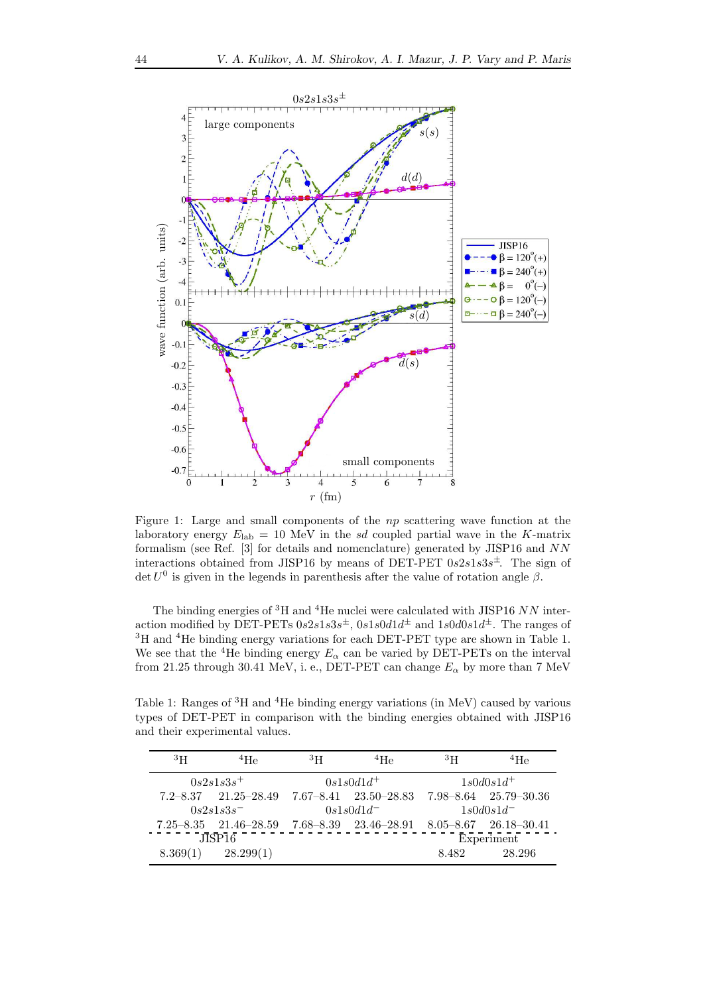

Figure 1: Large and small components of the np scattering wave function at the laboratory energy  $E_{\text{lab}} = 10 \text{ MeV}$  in the sd coupled partial wave in the K-matrix formalism (see Ref. [3] for details and nomenclature) generated by JISP16 and NN interactions obtained from JISP16 by means of DET-PET  $0s2s1s3s^{\pm}$ . The sign of det  $U^0$  is given in the legends in parenthesis after the value of rotation angle  $\beta$ .

The binding energies of  ${}^{3}$ H and  ${}^{4}$ He nuclei were calculated with JISP16 NN interaction modified by DET-PETs  $0s2s1s3s^{\pm}$ ,  $0s1s0d1d^{\pm}$  and  $1s0d0s1d^{\pm}$ . The ranges of <sup>3</sup>H and <sup>4</sup>He binding energy variations for each DET-PET type are shown in Table 1. We see that the <sup>4</sup>He binding energy  $E_{\alpha}$  can be varied by DET-PETs on the interval from 21.25 through 30.41 MeV, i. e., DET-PET can change  $E_{\alpha}$  by more than 7 MeV

Table 1: Ranges of <sup>3</sup>H and <sup>4</sup>He binding energy variations (in MeV) caused by various types of DET-PET in comparison with the binding energies obtained with JISP16 and their experimental values.

| ${}^{3}$ H   | $^{4}$ He                                                                                 | 3 <sub>H</sub> | $^{4}$ He | 3 <sub>H</sub> | $^{4}$ He             |
|--------------|-------------------------------------------------------------------------------------------|----------------|-----------|----------------|-----------------------|
| $0s2s1s3s^+$ |                                                                                           | $0s1s0d1d^+$   |           | $1s0d0s1d^+$   |                       |
|              | $7.2 - 8.37$ $21.25 - 28.49$ $7.67 - 8.41$ $23.50 - 28.83$                                |                |           |                | 7.98-8.64 25.79-30.36 |
| $0s2s1s3s^-$ |                                                                                           | $0s1s0d1d^-$   |           | $1s0d0s1d^-$   |                       |
|              | $7.25 - 8.35$ $21.46 - 28.59$ $7.68 - 8.39$ $23.46 - 28.91$ $8.05 - 8.67$ $26.18 - 30.41$ |                |           |                |                       |
| JISP16       |                                                                                           |                |           | Experiment     |                       |
| 8.369(1)     | 28.299(1)                                                                                 |                |           | 8.482          | 28.296                |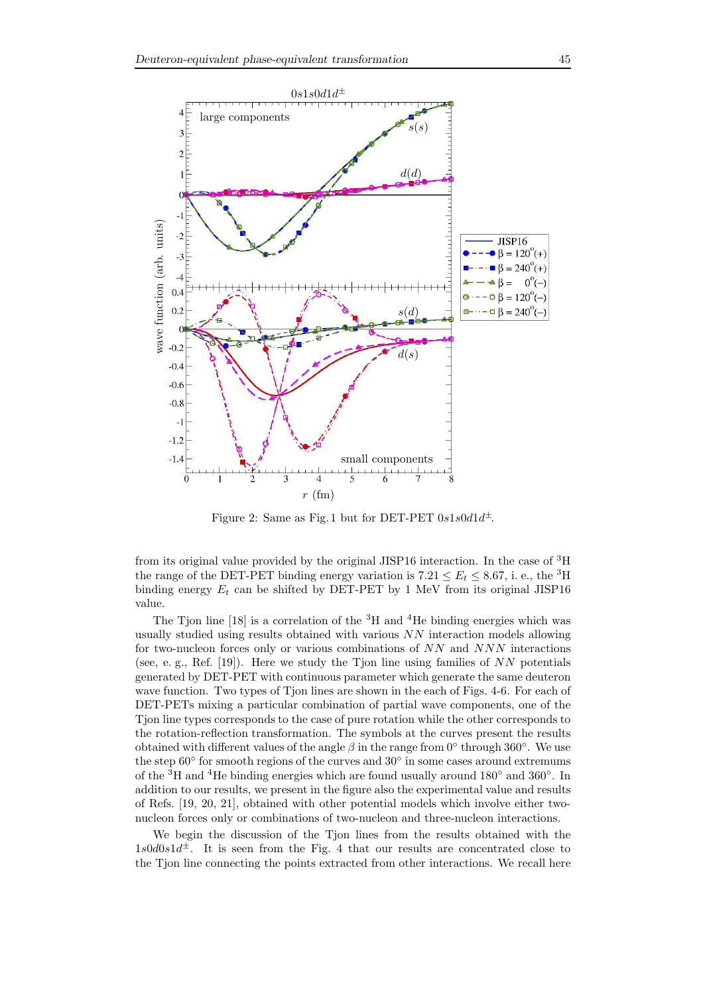

Figure 2: Same as Fig. 1 but for DET-PET  $0s1s0d1d^{\pm}$ .

from its original value provided by the original JISP16 interaction. In the case of <sup>3</sup>H the range of the DET-PET binding energy variation is  $7.21 \le E_t \le 8.67$ , i. e., the <sup>3</sup>H binding energy  $E_t$  can be shifted by DET-PET by 1 MeV from its original JISP16 value.

The Tjon line [18] is a correlation of the  ${}^{3}H$  and  ${}^{4}He$  binding energies which was usually studied using results obtained with various  $NN$  interaction models allowing for two-nucleon forces only or various combinations of NN and NNN interactions (see, e. g., Ref. [19]). Here we study the Tjon line using families of  $NN$  potentials generated by DET-PET with continuous parameter which generate the same deuteron wave function. Two types of Tjon lines are shown in the each of Figs. 4-6. For each of DET-PETs mixing a particular combination of partial wave components, one of the Tjon line types corresponds to the case of pure rotation while the other corresponds to the rotation-reflection transformation. The symbols at the curves present the results obtained with different values of the angle  $\beta$  in the range from 0° through 360°. We use the step  $60^{\circ}$  for smooth regions of the curves and  $30^{\circ}$  in some cases around extremums of the <sup>3</sup>H and <sup>4</sup>He binding energies which are found usually around 180<sup>°</sup> and 360<sup>°</sup>. In addition to our results, we present in the figure also the experimental value and results of Refs. [19, 20, 21], obtained with other potential models which involve either twonucleon forces only or combinations of two-nucleon and three-nucleon interactions.

We begin the discussion of the Tjon lines from the results obtained with the  $1s0d0s1d^{\pm}$ . It is seen from the Fig. 4 that our results are concentrated close to the Tjon line connecting the points extracted from other interactions. We recall here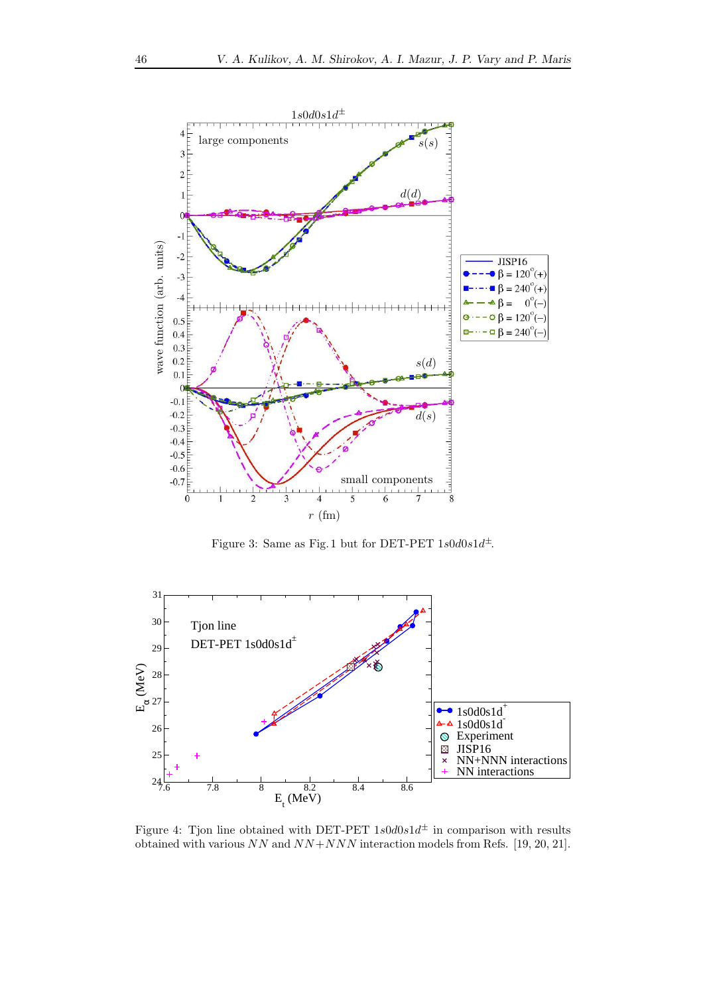

Figure 3: Same as Fig. 1 but for DET-PET  $1s0d0s1d^{\pm}$ .



Figure 4: Tjon line obtained with DET-PET  $1s0d0s1d^{\pm}$  in comparison with results obtained with various  $NN$  and  $NN+NNN$  interaction models from Refs. [19, 20, 21].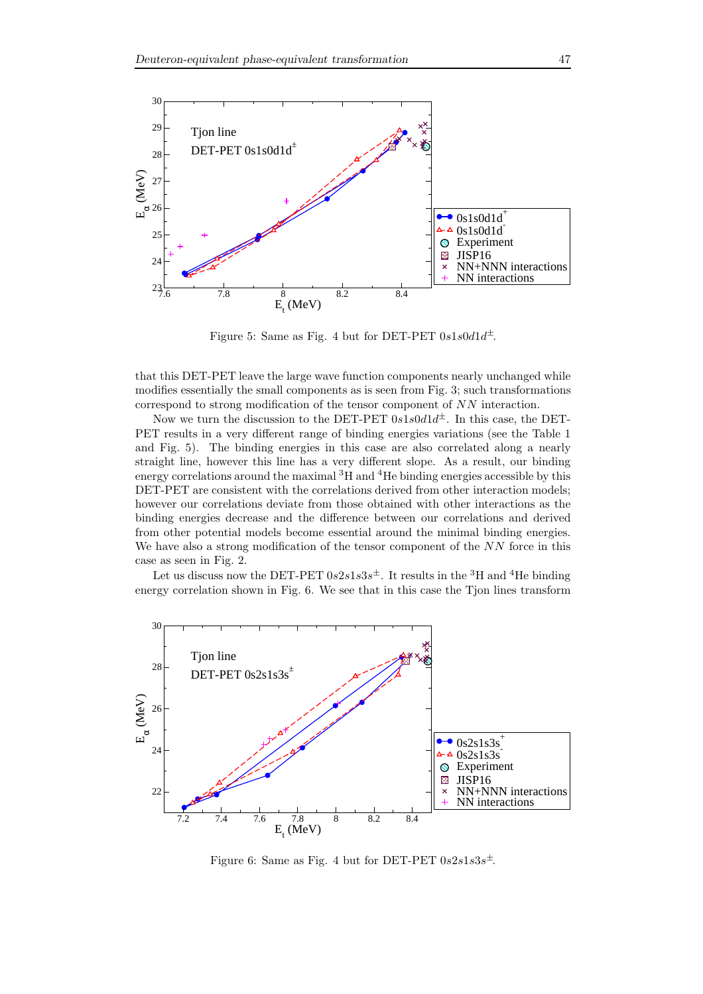

Figure 5: Same as Fig. 4 but for DET-PET  $0s1s0d1d^{\pm}$ .

that this DET-PET leave the large wave function components nearly unchanged while modifies essentially the small components as is seen from Fig. 3; such transformations correspond to strong modification of the tensor component of NN interaction.

Now we turn the discussion to the DET-PET  $0s1s0d1d^{\pm}$ . In this case, the DET-PET results in a very different range of binding energies variations (see the Table 1 and Fig. 5). The binding energies in this case are also correlated along a nearly straight line, however this line has a very different slope. As a result, our binding energy correlations around the maximal <sup>3</sup>H and <sup>4</sup>He binding energies accessible by this DET-PET are consistent with the correlations derived from other interaction models; however our correlations deviate from those obtained with other interactions as the binding energies decrease and the difference between our correlations and derived from other potential models become essential around the minimal binding energies. We have also a strong modification of the tensor component of the  $NN$  force in this case as seen in Fig. 2.

Let us discuss now the DET-PET  $0s2s1s3s^{\pm}$ . It results in the <sup>3</sup>H and <sup>4</sup>He binding energy correlation shown in Fig. 6. We see that in this case the Tjon lines transform



Figure 6: Same as Fig. 4 but for DET-PET  $0s2s1s3s^{\pm}$ .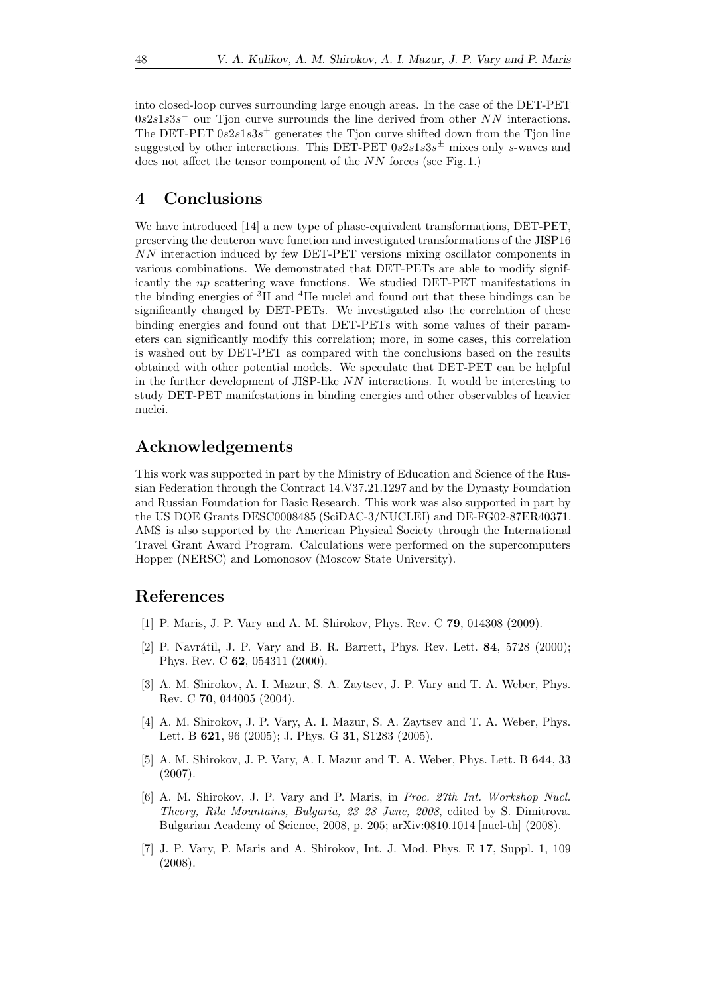into closed-loop curves surrounding large enough areas. In the case of the DET-PET  $0s2s1s3s$ <sup>-</sup> our Tjon curve surrounds the line derived from other NN interactions. The DET-PET  $0s2s1s3s^+$  generates the Tjon curve shifted down from the Tjon line suggested by other interactions. This DET-PET  $0s2s1s3s^{\pm}$  mixes only s-waves and does not affect the tensor component of the NN forces (see Fig. 1.)

# 4 Conclusions

We have introduced [14] a new type of phase-equivalent transformations, DET-PET, preserving the deuteron wave function and investigated transformations of the JISP16 NN interaction induced by few DET-PET versions mixing oscillator components in various combinations. We demonstrated that DET-PETs are able to modify significantly the np scattering wave functions. We studied DET-PET manifestations in the binding energies of <sup>3</sup>H and <sup>4</sup>He nuclei and found out that these bindings can be significantly changed by DET-PETs. We investigated also the correlation of these binding energies and found out that DET-PETs with some values of their parameters can significantly modify this correlation; more, in some cases, this correlation is washed out by DET-PET as compared with the conclusions based on the results obtained with other potential models. We speculate that DET-PET can be helpful in the further development of JISP-like NN interactions. It would be interesting to study DET-PET manifestations in binding energies and other observables of heavier nuclei.

# Acknowledgements

This work was supported in part by the Ministry of Education and Science of the Russian Federation through the Contract 14.V37.21.1297 and by the Dynasty Foundation and Russian Foundation for Basic Research. This work was also supported in part by the US DOE Grants DESC0008485 (SciDAC-3/NUCLEI) and DE-FG02-87ER40371. AMS is also supported by the American Physical Society through the International Travel Grant Award Program. Calculations were performed on the supercomputers Hopper (NERSC) and Lomonosov (Moscow State University).

#### References

- [1] P. Maris, J. P. Vary and A. M. Shirokov, Phys. Rev. C 79, 014308 (2009).
- [2] P. Navrátil, J. P. Vary and B. R. Barrett, Phys. Rev. Lett. **84**, 5728 (2000); Phys. Rev. C 62, 054311 (2000).
- [3] A. M. Shirokov, A. I. Mazur, S. A. Zaytsev, J. P. Vary and T. A. Weber, Phys. Rev. C 70, 044005 (2004).
- [4] A. M. Shirokov, J. P. Vary, A. I. Mazur, S. A. Zaytsev and T. A. Weber, Phys. Lett. B 621, 96 (2005); J. Phys. G 31, S1283 (2005).
- [5] A. M. Shirokov, J. P. Vary, A. I. Mazur and T. A. Weber, Phys. Lett. B 644, 33 (2007).
- [6] A. M. Shirokov, J. P. Vary and P. Maris, in Proc. 27th Int. Workshop Nucl. Theory, Rila Mountains, Bulgaria, 23–28 June, 2008, edited by S. Dimitrova. Bulgarian Academy of Science, 2008, p. 205; arXiv:0810.1014 [nucl-th] (2008).
- [7] J. P. Vary, P. Maris and A. Shirokov, Int. J. Mod. Phys. E 17, Suppl. 1, 109 (2008).